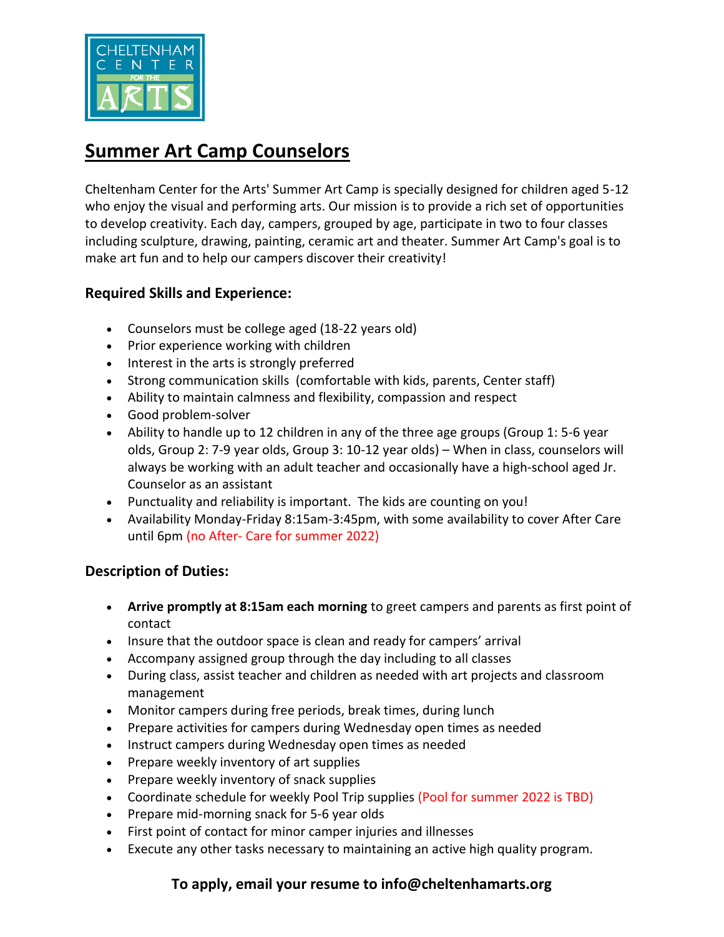

# **Summer Art Camp Counselors**

Cheltenham Center for the Arts' Summer Art Camp is specially designed for children aged 5-12 who enjoy the visual and performing arts. Our mission is to provide a rich set of opportunities to develop creativity. Each day, campers, grouped by age, participate in two to four classes including sculpture, drawing, painting, ceramic art and theater. Summer Art Camp's goal is to make art fun and to help our campers discover their creativity!

### **Required Skills and Experience:**

- Counselors must be college aged (18-22 years old)
- Prior experience working with children
- Interest in the arts is strongly preferred
- Strong communication skills (comfortable with kids, parents, Center staff)
- Ability to maintain calmness and flexibility, compassion and respect
- Good problem-solver
- Ability to handle up to 12 children in any of the three age groups (Group 1: 5-6 year olds, Group 2: 7-9 year olds, Group 3: 10-12 year olds) – When in class, counselors will always be working with an adult teacher and occasionally have a high-school aged Jr. Counselor as an assistant
- Punctuality and reliability is important. The kids are counting on you!
- Availability Monday-Friday 8:15am-3:45pm, with some availability to cover After Care until 6pm (no After- Care for summer 2022)

#### **Description of Duties:**

- **Arrive promptly at 8:15am each morning** to greet campers and parents as first point of contact
- Insure that the outdoor space is clean and ready for campers' arrival
- Accompany assigned group through the day including to all classes
- During class, assist teacher and children as needed with art projects and classroom management
- Monitor campers during free periods, break times, during lunch
- Prepare activities for campers during Wednesday open times as needed
- Instruct campers during Wednesday open times as needed
- Prepare weekly inventory of art supplies
- Prepare weekly inventory of snack supplies
- Coordinate schedule for weekly Pool Trip supplies (Pool for summer 2022 is TBD)
- Prepare mid-morning snack for 5-6 year olds
- First point of contact for minor camper injuries and illnesses
- Execute any other tasks necessary to maintaining an active high quality program.

#### **To apply, email your resume to info@cheltenhamarts.org**